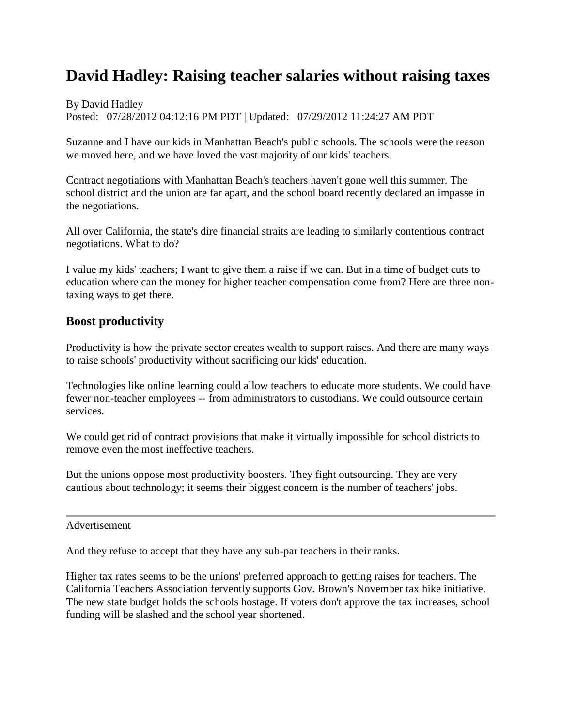## **David Hadley: Raising teacher salaries without raising taxes**

By David Hadley Posted: 07/28/2012 04:12:16 PM PDT | Updated: 07/29/2012 11:24:27 AM PDT

Suzanne and I have our kids in Manhattan Beach's public schools. The schools were the reason we moved here, and we have loved the vast majority of our kids' teachers.

Contract negotiations with Manhattan Beach's teachers haven't gone well this summer. The school district and the union are far apart, and the school board recently declared an impasse in the negotiations.

All over California, the state's dire financial straits are leading to similarly contentious contract negotiations. What to do?

I value my kids' teachers; I want to give them a raise if we can. But in a time of budget cuts to education where can the money for higher teacher compensation come from? Here are three nontaxing ways to get there.

## **Boost productivity**

Productivity is how the private sector creates wealth to support raises. And there are many ways to raise schools' productivity without sacrificing our kids' education.

Technologies like online learning could allow teachers to educate more students. We could have fewer non-teacher employees -- from administrators to custodians. We could outsource certain services.

We could get rid of contract provisions that make it virtually impossible for school districts to remove even the most ineffective teachers.

But the unions oppose most productivity boosters. They fight outsourcing. They are very cautious about technology; it seems their biggest concern is the number of teachers' jobs.

Advertisement

And they refuse to accept that they have any sub-par teachers in their ranks.

Higher tax rates seems to be the unions' preferred approach to getting raises for teachers. The California Teachers Association fervently supports Gov. Brown's November tax hike initiative. The new state budget holds the schools hostage. If voters don't approve the tax increases, school funding will be slashed and the school year shortened.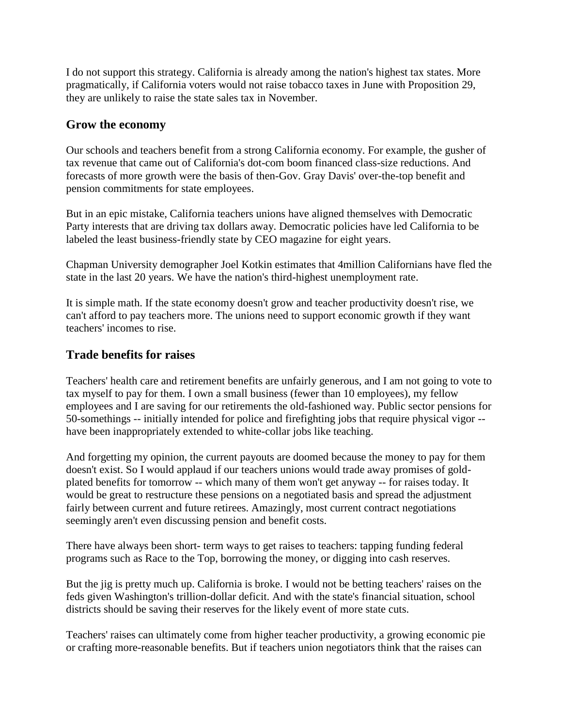I do not support this strategy. California is already among the nation's highest tax states. More pragmatically, if California voters would not raise tobacco taxes in June with Proposition 29, they are unlikely to raise the state sales tax in November.

## **Grow the economy**

Our schools and teachers benefit from a strong California economy. For example, the gusher of tax revenue that came out of California's dot-com boom financed class-size reductions. And forecasts of more growth were the basis of then-Gov. Gray Davis' over-the-top benefit and pension commitments for state employees.

But in an epic mistake, California teachers unions have aligned themselves with Democratic Party interests that are driving tax dollars away. Democratic policies have led California to be labeled the least business-friendly state by CEO magazine for eight years.

Chapman University demographer Joel Kotkin estimates that 4million Californians have fled the state in the last 20 years. We have the nation's third-highest unemployment rate.

It is simple math. If the state economy doesn't grow and teacher productivity doesn't rise, we can't afford to pay teachers more. The unions need to support economic growth if they want teachers' incomes to rise.

## **Trade benefits for raises**

Teachers' health care and retirement benefits are unfairly generous, and I am not going to vote to tax myself to pay for them. I own a small business (fewer than 10 employees), my fellow employees and I are saving for our retirements the old-fashioned way. Public sector pensions for 50-somethings -- initially intended for police and firefighting jobs that require physical vigor - have been inappropriately extended to white-collar jobs like teaching.

And forgetting my opinion, the current payouts are doomed because the money to pay for them doesn't exist. So I would applaud if our teachers unions would trade away promises of goldplated benefits for tomorrow -- which many of them won't get anyway -- for raises today. It would be great to restructure these pensions on a negotiated basis and spread the adjustment fairly between current and future retirees. Amazingly, most current contract negotiations seemingly aren't even discussing pension and benefit costs.

There have always been short- term ways to get raises to teachers: tapping funding federal programs such as Race to the Top, borrowing the money, or digging into cash reserves.

But the jig is pretty much up. California is broke. I would not be betting teachers' raises on the feds given Washington's trillion-dollar deficit. And with the state's financial situation, school districts should be saving their reserves for the likely event of more state cuts.

Teachers' raises can ultimately come from higher teacher productivity, a growing economic pie or crafting more-reasonable benefits. But if teachers union negotiators think that the raises can